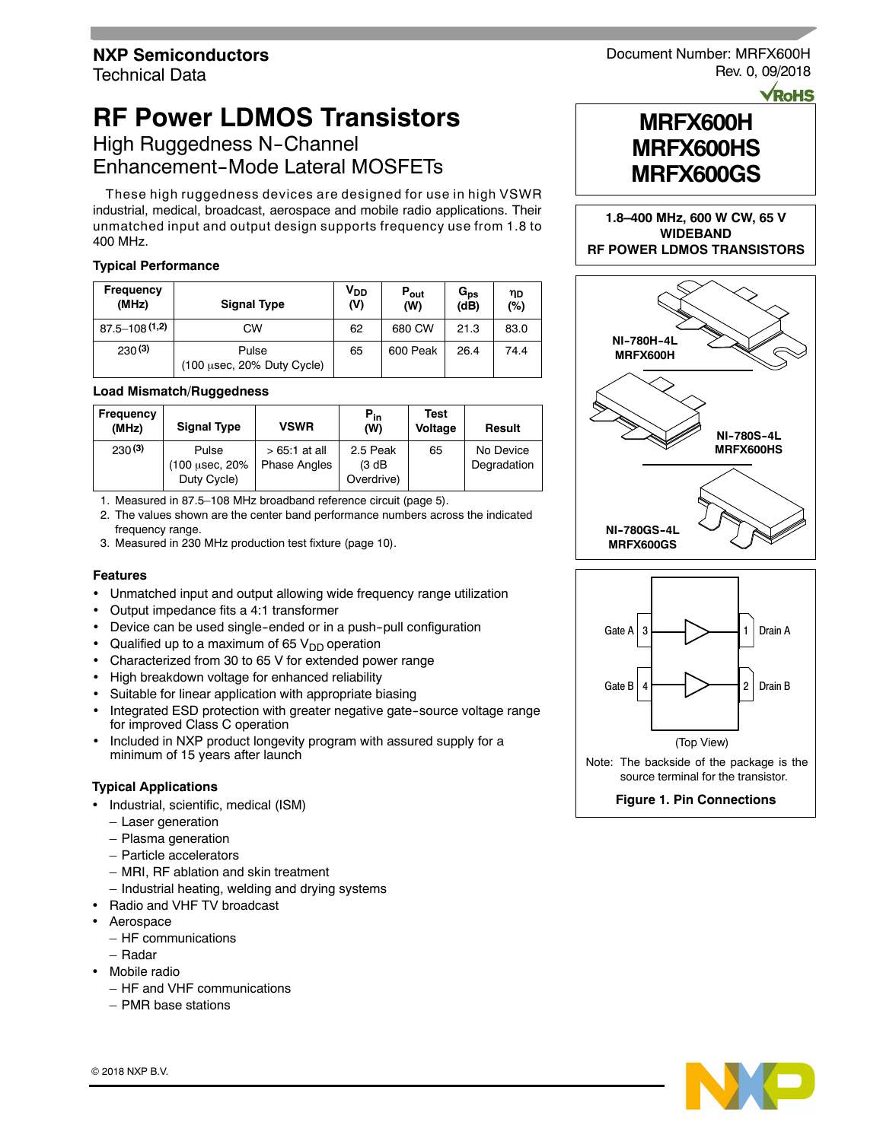# **RF Power LDMOS Transistors**

# High Ruggedness N-Channel Enhancement-Mode Lateral MOSFETs

These high ruggedness devices are designed for use in high VSWR industrial, medical, broadcast, aerospace and mobile radio applications. Their unmatched input and output design supports frequency use from 1.8 to 400 MHz.

### **Typical Performance**

| <b>Frequency</b><br>(MHz) | <b>Signal Type</b>                  | V <sub>DD</sub><br>(V) | $P_{out}$<br>(W) | $G_{ps}$<br>(dB) | ηD<br>(%) |
|---------------------------|-------------------------------------|------------------------|------------------|------------------|-----------|
| $87.5 - 108(1,2)$         | СW                                  | 62                     | 680 CW           | 21.3             | 83.0      |
| 230(3)                    | Pulse<br>(100 usec, 20% Duty Cycle) | 65                     | 600 Peak         | 26.4             | 74.4      |

### **Load Mismatch/Ruggedness**

| Frequency<br>(MHz) | <b>Signal Type</b>                      | <b>VSWR</b>                           | $P_{in}$<br>(W)                  | <b>Test</b><br>Voltage | Result                   |
|--------------------|-----------------------------------------|---------------------------------------|----------------------------------|------------------------|--------------------------|
| 230(3)             | Pulse<br>(100 µsec, 20%)<br>Duty Cycle) | $>65.1$ at all<br><b>Phase Angles</b> | 2.5 Peak<br>(3 dB)<br>Overdrive) | 65                     | No Device<br>Degradation |

1. Measured in 87.5–108 MHz broadband reference circuit (page 5).

2. The values shown are the center band performance numbers across the indicated frequency range.

3. Measured in 230 MHz production test fixture (page 10).

### **Features**

- Unmatched input and output allowing wide frequency range utilization
- Output impedance fits a 4:1 transformer
- Device can be used single-ended or in a push-pull configuration
- Qualified up to a maximum of 65  $V_{DD}$  operation
- Characterized from 30 to 65 V for extended power range
- High breakdown voltage for enhanced reliability
- Suitable for linear application with appropriate biasing
- Integrated ESD protection with greater negative gate--source voltage range for improved Class C operation
- Included in NXP product longevity program with assured supply for a minimum of 15 years after launch

### **Typical Applications**

- Industrial, scientific, medical (ISM)
	- Laser generation
	- Plasma generation
	- Particle accelerators
	- MRI, RF ablation and skin treatment
	- Industrial heating, welding and drying systems
- Radio and VHF TV broadcast
- Aerospace
	- HF communications
	- Radar
- Mobile radio
	- HF and VHF communications
	- PMR base stations

Document Number: MRFX600H Rev. 0, 09/2018

**VRoHS** 



**1.8–400 MHz, 600 W CW, 65 V WIDEBAND RF POWER LDMOS TRANSISTORS**





Note: The backside of the package is the source terminal for the transistor.

**Figure 1. Pin Connections**

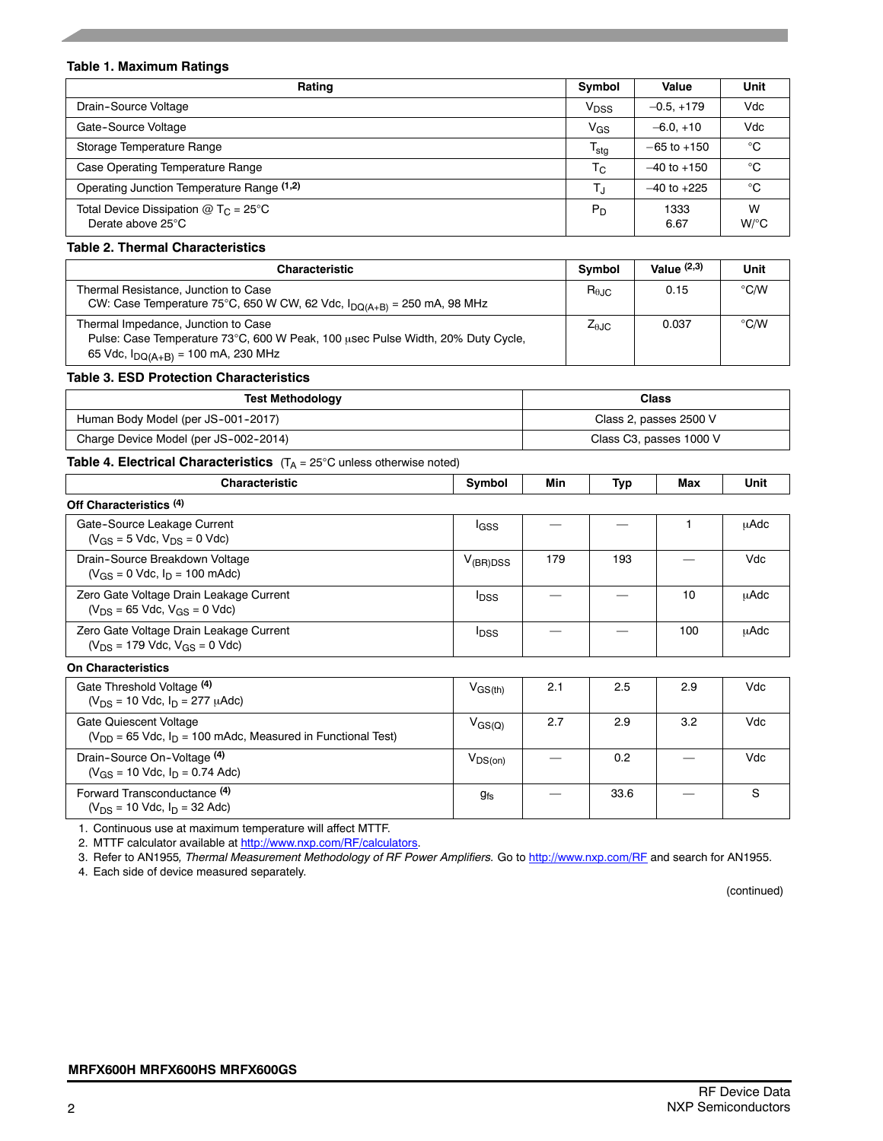### **Table 1. Maximum Ratings**

| Rating                                                                  | Symbol                 | Value           | Unit                    |
|-------------------------------------------------------------------------|------------------------|-----------------|-------------------------|
| Drain-Source Voltage                                                    | <b>V<sub>DSS</sub></b> | $-0.5. +179$    | Vdc                     |
| Gate-Source Voltage                                                     | $V_{GS}$               | $-6.0.+10$      | Vdc                     |
| Storage Temperature Range                                               | $T_{\text{stg}}$       | $-65$ to $+150$ | °C                      |
| Case Operating Temperature Range                                        | $T_{\rm C}$            | $-40$ to $+150$ | °C                      |
| Operating Junction Temperature Range (1,2)                              | T.ı                    | $-40$ to $+225$ | °C                      |
| Total Device Dissipation $@$ T <sub>C</sub> = 25°C<br>Derate above 25°C | $P_D$                  | 1333<br>6.67    | W<br>$W$ <sup>o</sup> C |

### **Table 2. Thermal Characteristics**

| <b>Characteristic</b>                                                                                                                                             | Symbol         | Value $(2,3)$ | Unit |
|-------------------------------------------------------------------------------------------------------------------------------------------------------------------|----------------|---------------|------|
| Thermal Resistance, Junction to Case<br>CW: Case Temperature 75°C, 650 W CW, 62 Vdc, $I_{DQ(A+B)} = 250$ mA, 98 MHz                                               | $R_{\theta$ JC | 0.15          | °C/W |
| Thermal Impedance, Junction to Case<br>Pulse: Case Temperature 73°C, 600 W Peak, 100 usec Pulse Width, 20% Duty Cycle,<br>65 Vdc, $I_{DQ(A+B)} = 100$ mA, 230 MHz | $Z_{\theta$ JC | 0.037         | °C/W |

#### **Table 3. ESD Protection Characteristics**

| <b>Test Methodology</b>               | <b>Class</b>            |
|---------------------------------------|-------------------------|
| Human Body Model (per JS-001-2017)    | Class 2, passes 2500 V  |
| Charge Device Model (per JS-002-2014) | Class C3, passes 1000 V |

### **Table 4. Electrical Characteristics** (T<sub>A</sub> = 25°C unless otherwise noted)

| <b>Characteristic</b>                                                                        | Symbol                  | Min | Typ  | Max | Unit        |
|----------------------------------------------------------------------------------------------|-------------------------|-----|------|-----|-------------|
| Off Characteristics (4)                                                                      |                         |     |      |     |             |
| Gate-Source Leakage Current<br>$(V_{GS} = 5$ Vdc, $V_{DS} = 0$ Vdc)                          | lgss                    |     |      |     | μAdc        |
| Drain-Source Breakdown Voltage<br>$(V_{GS} = 0$ Vdc, $I_D = 100$ mAdc)                       | $V_{(BR)DSS}$           | 179 | 193  |     | Vdc         |
| Zero Gate Voltage Drain Leakage Current<br>$(V_{DS} = 65$ Vdc, $V_{GS} = 0$ Vdc)             | <b>I</b> <sub>DSS</sub> |     |      | 10  | <b>µAdc</b> |
| Zero Gate Voltage Drain Leakage Current<br>$(V_{DS} = 179$ Vdc, $V_{GS} = 0$ Vdc)            | <b>I</b> <sub>DSS</sub> |     |      | 100 | μAdc        |
| <b>On Characteristics</b>                                                                    |                         |     |      |     |             |
| Gate Threshold Voltage (4)<br>$(V_{DS} = 10$ Vdc, $I_D = 277$ $\mu$ Adc)                     | $V_{\rm GS(th)}$        | 2.1 | 2.5  | 2.9 | Vdc         |
| Gate Quiescent Voltage<br>$(V_{DD} = 65$ Vdc, $I_D = 100$ mAdc, Measured in Functional Test) | $V_{\rm GS(Q)}$         | 2.7 | 2.9  | 3.2 | Vdc         |
| Drain-Source On-Voltage (4)<br>$(V_{GS} = 10$ Vdc, $I_D = 0.74$ Adc)                         | $V_{DS(on)}$            |     | 0.2  |     | Vdc         |
| Forward Transconductance (4)<br>$(V_{DS} = 10$ Vdc, $I_D = 32$ Adc)                          | <b>gfs</b>              |     | 33.6 |     | S           |

1. Continuous use at maximum temperature will affect MTTF.

2. MTTF calculator available at http://www.nxp.com/RF/calculators.

3. Refer to AN1955*, Thermal Measurement Methodology of RF Power Amplifiers.* Go to http://www.nxp.com/RF and search for AN1955.

4. Each side of device measured separately.

(continued)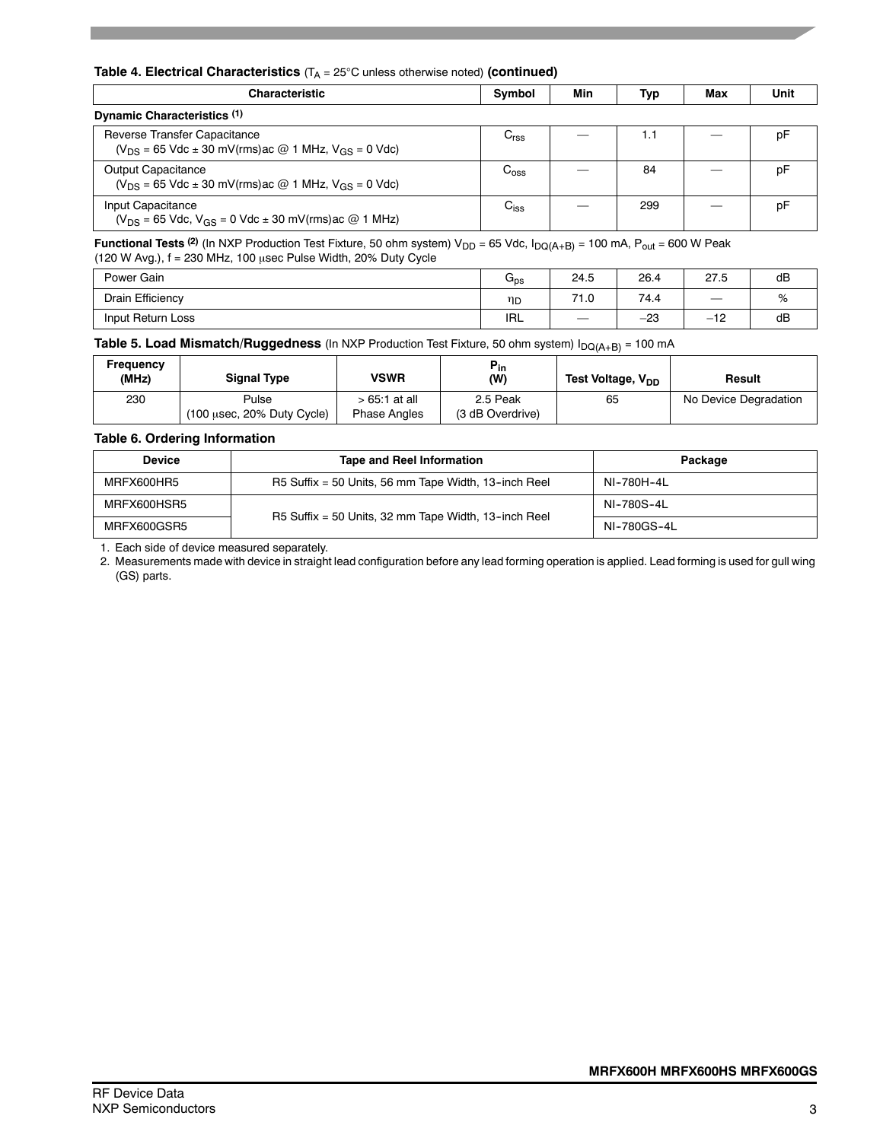### **Table 4. Electrical Characteristics** (T<sub>A</sub> = 25°C unless otherwise noted) (continued)

| Characteristic                                                                                    | Symbol           | Min | Typ | Max | Unit |
|---------------------------------------------------------------------------------------------------|------------------|-----|-----|-----|------|
| Dynamic Characteristics (1)                                                                       |                  |     |     |     |      |
| Reverse Transfer Capacitance<br>$(V_{DS} = 65$ Vdc $\pm$ 30 mV(rms) ac @ 1 MHz, $V_{GS} = 0$ Vdc) | $C_{\rm rss}$    |     | 1.1 |     | D٢   |
| <b>Output Capacitance</b><br>$(V_{DS} = 65$ Vdc $\pm$ 30 mV(rms) ac @ 1 MHz, $V_{GS} = 0$ Vdc)    | $C_{\text{oss}}$ |     | 84  |     | p۲   |
| Input Capacitance<br>$(V_{DS} = 65$ Vdc, $V_{GS} = 0$ Vdc $\pm$ 30 mV(rms) ac @ 1 MHz)            | $C_{iss}$        |     | 299 |     | D۲   |

**Functional Tests** <sup>(2)</sup> (In NXP Production Test Fixture, 50 ohm system)  $V_{DD} = 65$  Vdc,  $I_{DQ(A+B)} = 100$  mA,  $P_{out} = 600$  W Peak (120 W Avg.),  $f = 230$  MHz, 100  $\mu$ sec Pulse Width, 20% Duty Cycle

| Power Gain           | प <sub>ps</sub> | 24.5      | 26.4  | 27.5                                              | dB             |
|----------------------|-----------------|-----------|-------|---------------------------------------------------|----------------|
| Drain Efficiency     | ηD              | 74<br>1.0 | 74.4  | $\overline{\phantom{a}}$                          | $\sqrt{\circ}$ |
| Input Return<br>Loss | <b>IRL</b>      |           | $-23$ | $\overline{a}$<br>$\overline{\phantom{0}}$<br>ے ا | dB             |

**Table 5. Load Mismatch/Ruggedness** (In NXP Production Test Fixture, 50 ohm system) I<sub>DQ(A+B)</sub> = 100 mA

| Frequency<br>(MHz) | <b>Signal Type</b>                                     | VSWR                                  | $P_{in}$<br>(W)              | Test Voltage, V <sub>DD</sub> | Result                |
|--------------------|--------------------------------------------------------|---------------------------------------|------------------------------|-------------------------------|-----------------------|
| 230                | Pulse<br>$(100 \text{ usec}, 20\% \text{ Duty Cycle})$ | $>65.1$ at all<br><b>Phase Angles</b> | 2.5 Peak<br>(3 dB Overdrive) | 65                            | No Device Degradation |

### **Table 6. Ordering Information**

| <b>Tape and Reel Information</b><br><b>Device</b> |                                                      | Package     |
|---------------------------------------------------|------------------------------------------------------|-------------|
| MRFX600HR5                                        | R5 Suffix = 50 Units, 56 mm Tape Width, 13-inch Reel | NI-780H-4L  |
| MRFX600HSR5                                       | R5 Suffix = 50 Units, 32 mm Tape Width, 13-inch Reel | NI-780S-4I  |
| MRFX600GSR5                                       |                                                      | NI-780GS-4I |

1. Each side of device measured separately.

2. Measurements made with device in straight lead configuration before any lead forming operation is applied. Lead forming is used for gull wing (GS) parts.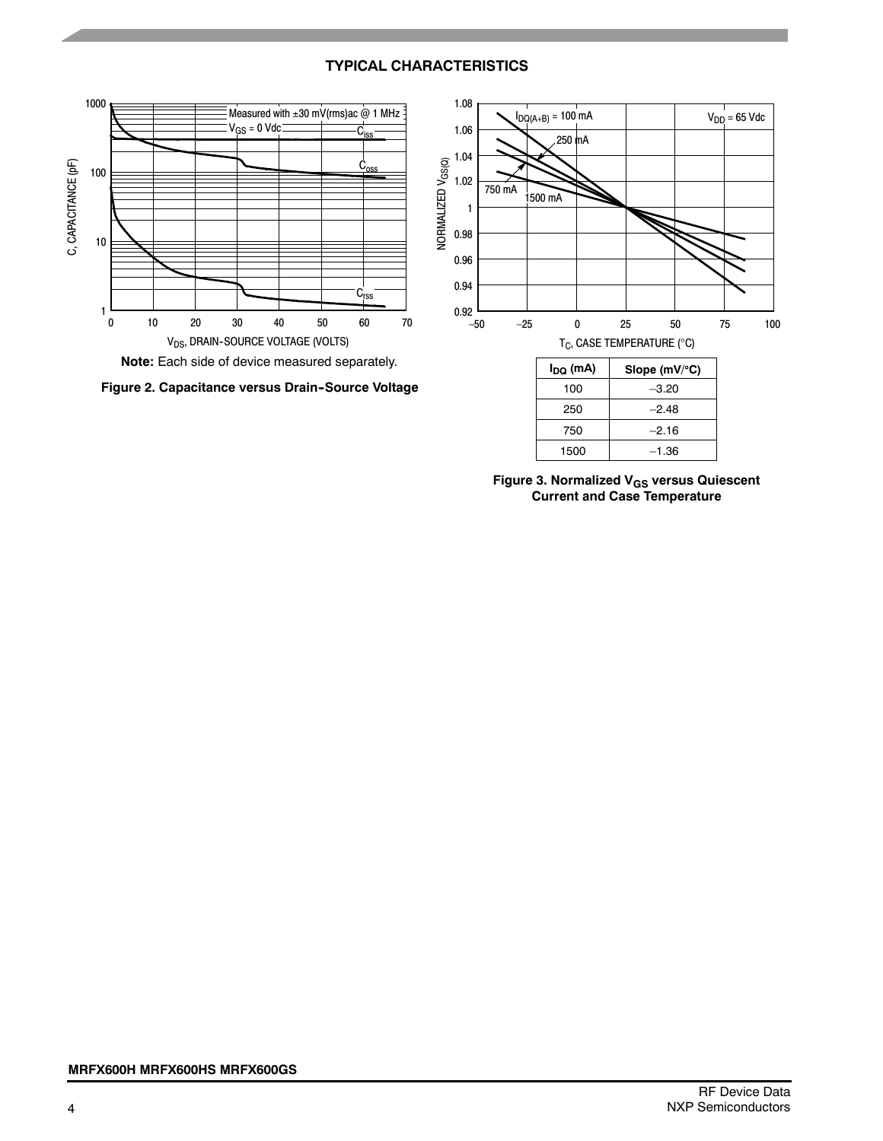## **TYPICAL CHARACTERISTICS**



**Note:** Each side of device measured separately.





**Figure 3. Normalized VGS versus Quiescent Current and Case Temperature**

–2.16 –1.36

750 1500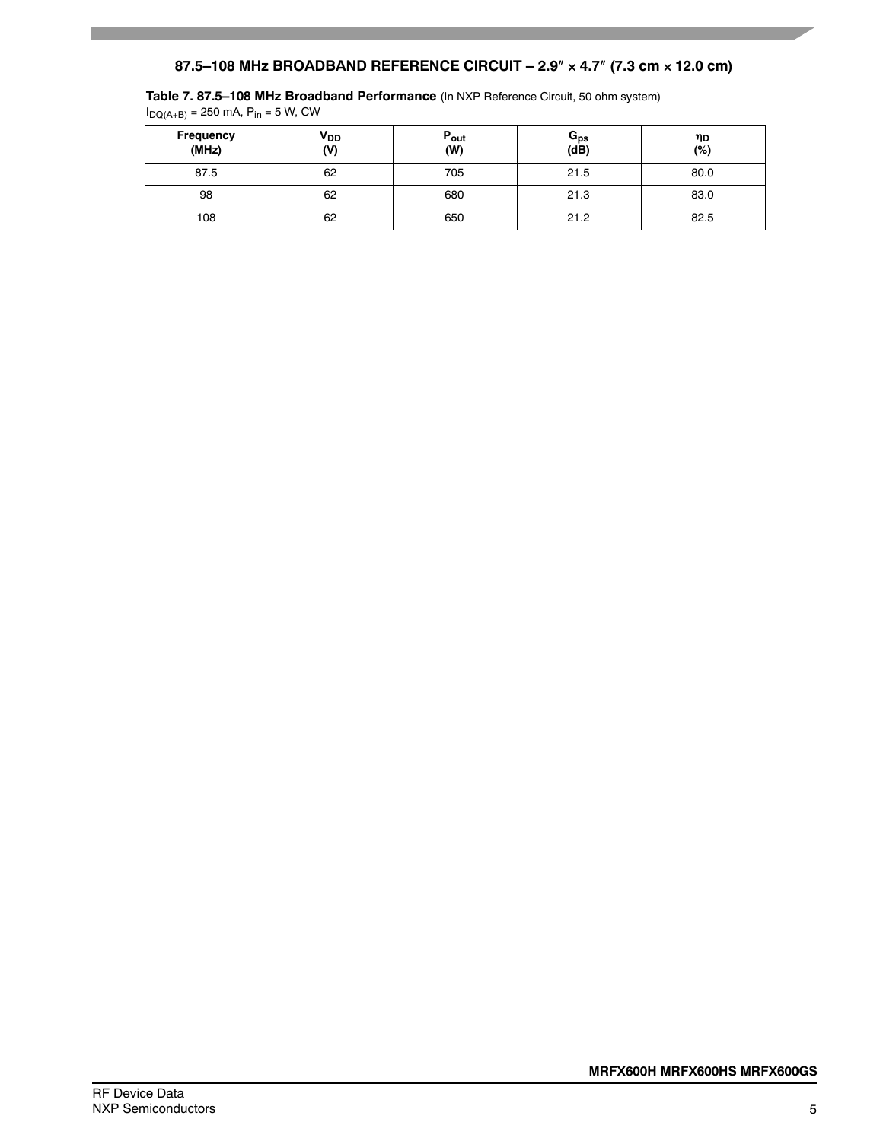# **87.5–108 MHz BROADBAND REFERENCE CIRCUIT – 2.9 4.7 (7.3 cm 12.0 cm)**

**Table 7. 87.5–108 MHz Broadband Performance** (In NXP Reference Circuit, 50 ohm system)

| $\mathbf{U}(\mathsf{H} + \mathsf{B}) =$ $\mathsf{L}(\mathsf{H} + \mathsf{B}) =$ |                 |                  |                           |           |
|---------------------------------------------------------------------------------|-----------------|------------------|---------------------------|-----------|
| Frequency<br>(MHz)                                                              | $V_{DD}$<br>(V) | $P_{out}$<br>(W) | $\mathtt{G_{ps}}$<br>(dB) | ηD<br>(%) |
| 87.5                                                                            | 62              | 705              | 21.5                      | 80.0      |
| 98                                                                              | 62              | 680              | 21.3                      | 83.0      |
| 108                                                                             | 62              | 650              | 21.2                      | 82.5      |

 $I_{\text{DO(A+B)}} = 250 \text{ mA}, P_{\text{in}} = 5 \text{ W}, \text{CW}$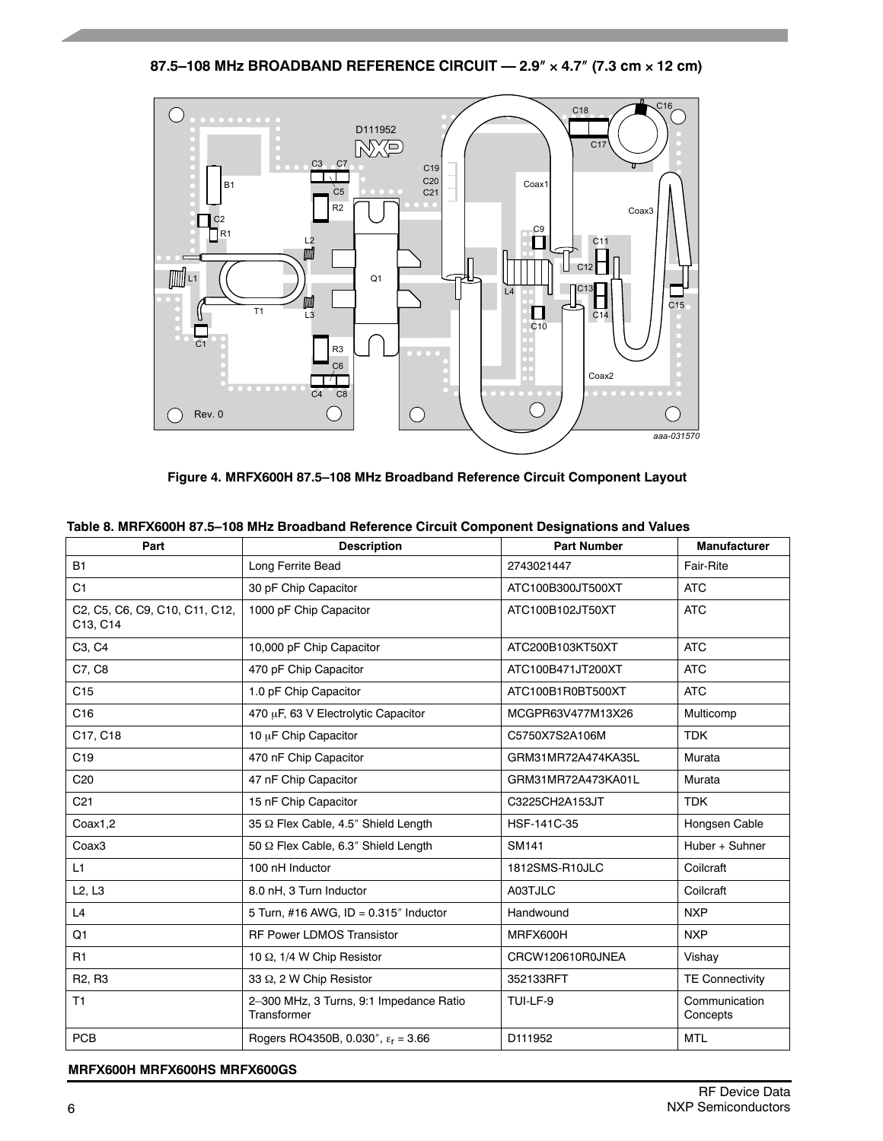**87.5–108 MHz BROADBAND REFERENCE CIRCUIT — 2.9 4.7 (7.3 cm 12 cm)**



**Figure 4. MRFX600H 87.5–108 MHz Broadband Reference Circuit Component Layout**

| Part                                       | <b>Description</b>                                     | <b>Part Number</b> | <b>Manufacturer</b>       |
|--------------------------------------------|--------------------------------------------------------|--------------------|---------------------------|
| <b>B1</b>                                  | Long Ferrite Bead                                      | 2743021447         | Fair-Rite                 |
| C <sub>1</sub>                             | 30 pF Chip Capacitor                                   | ATC100B300JT500XT  | <b>ATC</b>                |
| C2, C5, C6, C9, C10, C11, C12,<br>C13, C14 | 1000 pF Chip Capacitor                                 | ATC100B102JT50XT   | <b>ATC</b>                |
| C3, C4                                     | 10,000 pF Chip Capacitor                               | ATC200B103KT50XT   | <b>ATC</b>                |
| C7, C8                                     | 470 pF Chip Capacitor                                  | ATC100B471JT200XT  | <b>ATC</b>                |
| C <sub>15</sub>                            | 1.0 pF Chip Capacitor                                  | ATC100B1R0BT500XT  | <b>ATC</b>                |
| C16                                        | 470 µF, 63 V Electrolytic Capacitor                    | MCGPR63V477M13X26  | Multicomp                 |
| C17, C18                                   | 10 µF Chip Capacitor                                   | C5750X7S2A106M     | <b>TDK</b>                |
| C <sub>19</sub>                            | 470 nF Chip Capacitor                                  | GRM31MR72A474KA35L | Murata                    |
| C <sub>20</sub>                            | 47 nF Chip Capacitor                                   | GRM31MR72A473KA01L | Murata                    |
| C <sub>21</sub>                            | 15 nF Chip Capacitor                                   | C3225CH2A153JT     | <b>TDK</b>                |
| Coax1,2                                    | 35 Ω Flex Cable, 4.5" Shield Length                    | HSF-141C-35        | Hongsen Cable             |
| Coax3                                      | 50 Q Flex Cable, 6.3" Shield Length                    | <b>SM141</b>       | Huber + Suhner            |
| L1                                         | 100 nH Inductor                                        | 1812SMS-R10JLC     | Coilcraft                 |
| L2, L3                                     | 8.0 nH, 3 Turn Inductor                                | A03TJLC            | Coilcraft                 |
| L4                                         | 5 Turn, #16 AWG, $ID = 0.315$ " Inductor               | Handwound          | <b>NXP</b>                |
| Q <sub>1</sub>                             | RF Power LDMOS Transistor                              | MRFX600H           | <b>NXP</b>                |
| R1                                         | 10 $\Omega$ , 1/4 W Chip Resistor                      | CRCW120610R0JNEA   | Vishay                    |
| R <sub>2</sub> , R <sub>3</sub>            | 33 Q, 2 W Chip Resistor                                | 352133RFT          | <b>TE Connectivity</b>    |
| T1                                         | 2-300 MHz, 3 Turns, 9:1 Impedance Ratio<br>Transformer | TUI-LF-9           | Communication<br>Concepts |
| PCB                                        | Rogers RO4350B, 0.030", $\epsilon_r = 3.66$            | D111952            | <b>MTL</b>                |

### **Table 8. MRFX600H 87.5–108 MHz Broadband Reference Circuit Component Designations and Values**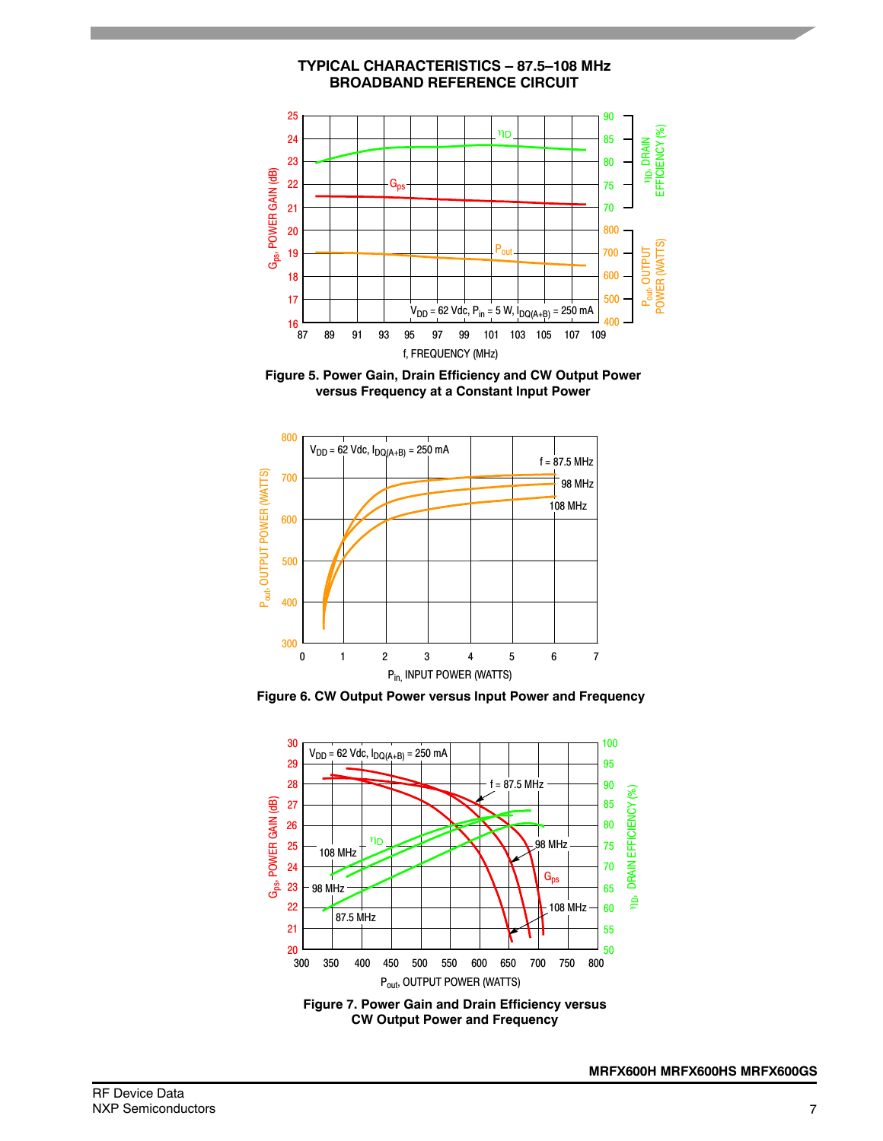

**Figure 5. Power Gain, Drain Efficiency and CW Output Power versus Frequency at a Constant Input Power**



**Figure 6. CW Output Power versus Input Power and Frequency**



**MRFX600H MRFX600HS MRFX600GS**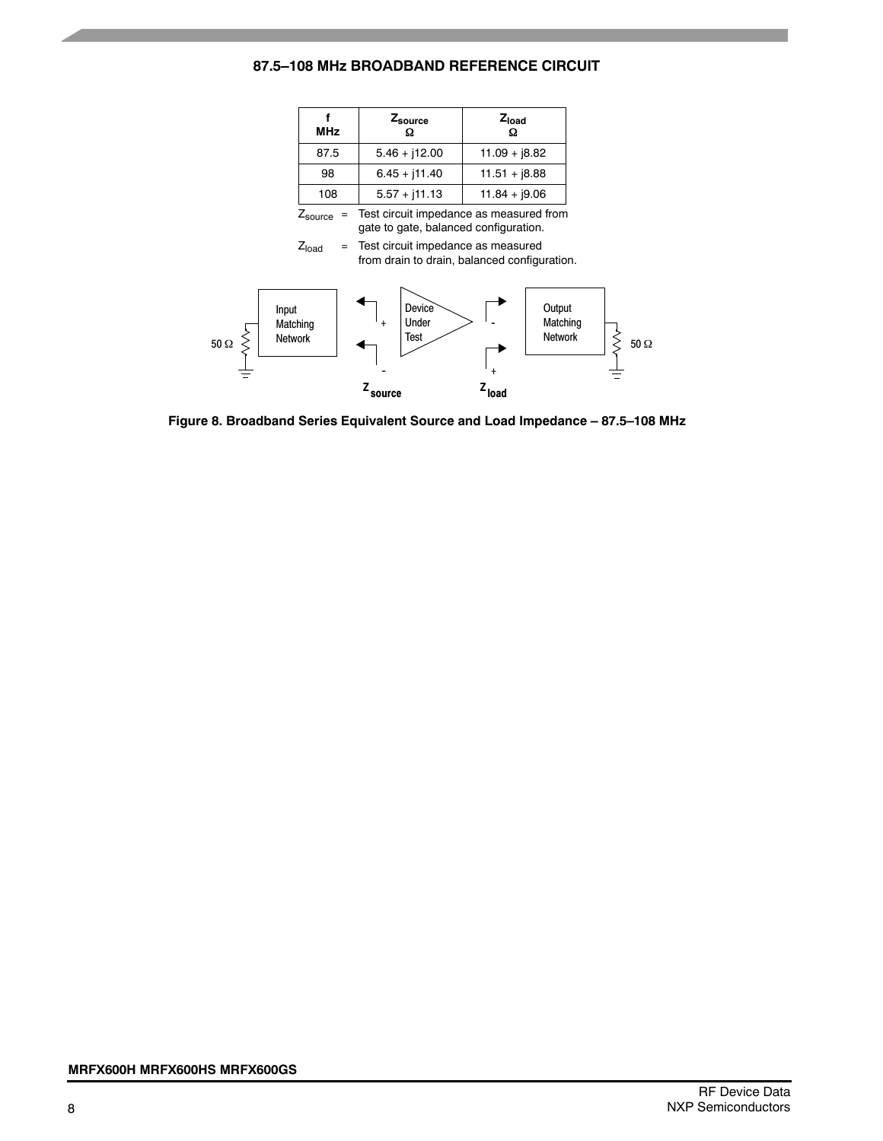### **87.5–108 MHz BROADBAND REFERENCE CIRCUIT**

| <b>MHz</b> | Zsource         | $Z_{load}$<br>Ω |
|------------|-----------------|-----------------|
| 87.5       | $5.46 + j12.00$ | $11.09 + 18.82$ |
| 98         | $6.45 + j11.40$ | $11.51 + 18.88$ |
| 108        | $5.57 + j11.13$ | $11.84 + 9.06$  |

 $Z_{\text{source}}$  = Test circuit impedance as measured from gate to gate, balanced configuration.

 $Z<sub>load</sub>$  = Test circuit impedance as measured from drain to drain, balanced configuration.



**Figure 8. Broadband Series Equivalent Source and Load Impedance – 87.5–108 MHz**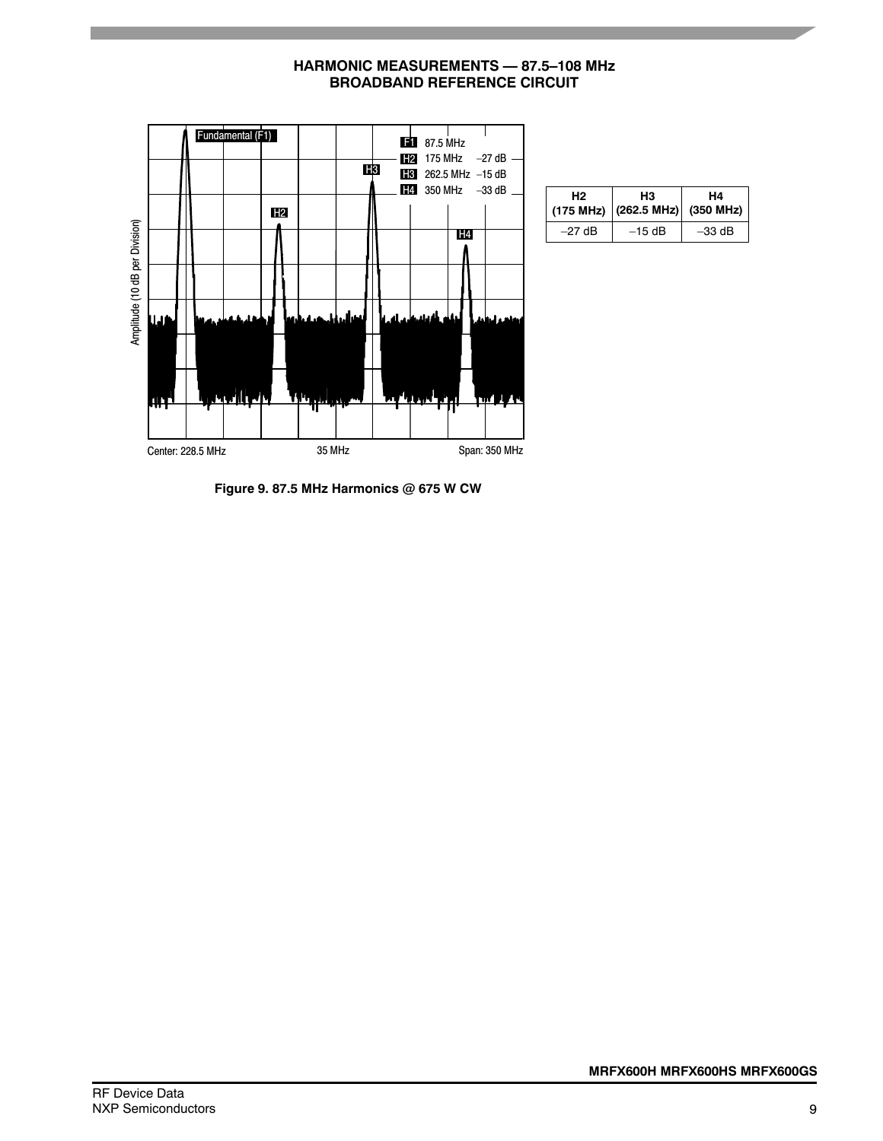

| <b>HARMONIC MEASUREMENTS — 87.5–108 MHz</b> |  |
|---------------------------------------------|--|
| <b>BROADBAND REFERENCE CIRCUIT</b>          |  |

| н2       | HЗ<br>$(175 \text{ MHz})$ $(262.5 \text{ MHz})$ $(350 \text{ MHz})$ | H4       |
|----------|---------------------------------------------------------------------|----------|
| $-27$ dB | $-15$ dB                                                            | $-33$ dB |

**Figure 9. 87.5 MHz Harmonics @ 675 W CW**

Center: 228.5 MHz 35 MHz 35 MHz Span: 350 MHz

Amplitude (10 dB per Division)

Amplitude (10 dB per Division)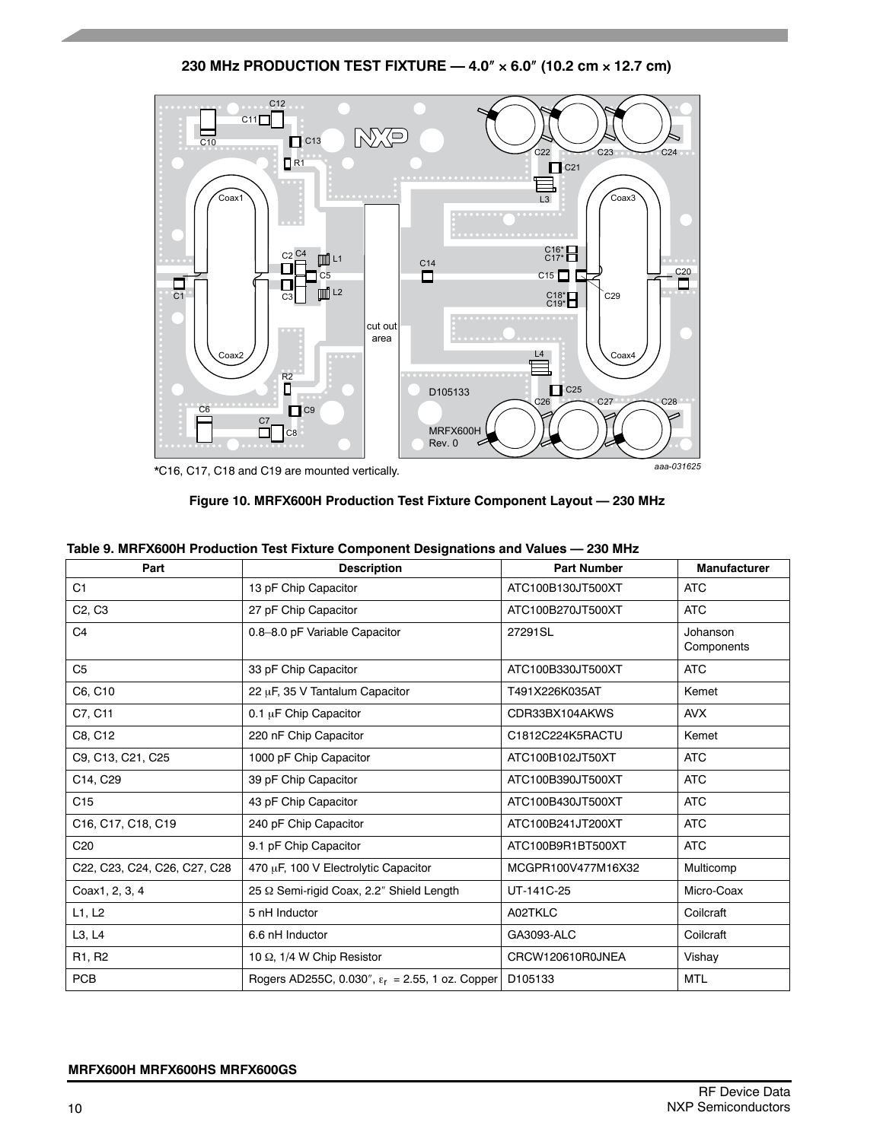**230 MHz PRODUCTION TEST FIXTURE — 4.0 6.0 (10.2 cm 12.7 cm)**



**Figure 10. MRFX600H Production Test Fixture Component Layout — 230 MHz**

| Part                            | <b>Description</b>                                           | <b>Part Number</b>  | <b>Manufacturer</b>    |
|---------------------------------|--------------------------------------------------------------|---------------------|------------------------|
| C <sub>1</sub>                  | 13 pF Chip Capacitor                                         | ATC100B130JT500XT   | <b>ATC</b>             |
| C <sub>2</sub> , C <sub>3</sub> | 27 pF Chip Capacitor                                         | ATC100B270JT500XT   | <b>ATC</b>             |
| C <sub>4</sub>                  | 0.8-8.0 pF Variable Capacitor                                | 27291SL             | Johanson<br>Components |
| C <sub>5</sub>                  | 33 pF Chip Capacitor                                         | ATC100B330JT500XT   | <b>ATC</b>             |
| C6, C10                         | 22 µF, 35 V Tantalum Capacitor                               | T491X226K035AT      | Kemet                  |
| C7, C11                         | 0.1 µF Chip Capacitor                                        | CDR33BX104AKWS      | <b>AVX</b>             |
| C8, C12                         | 220 nF Chip Capacitor                                        | C1812C224K5RACTU    | Kemet                  |
| C9, C13, C21, C25               | 1000 pF Chip Capacitor                                       | ATC100B102JT50XT    | <b>ATC</b>             |
| C14, C29                        | 39 pF Chip Capacitor                                         | ATC100B390JT500XT   | <b>ATC</b>             |
| C <sub>15</sub>                 | 43 pF Chip Capacitor                                         | ATC100B430JT500XT   | <b>ATC</b>             |
| C16, C17, C18, C19              | 240 pF Chip Capacitor                                        | ATC100B241JT200XT   | <b>ATC</b>             |
| C <sub>20</sub>                 | 9.1 pF Chip Capacitor                                        | ATC100B9R1BT500XT   | <b>ATC</b>             |
| C22, C23, C24, C26, C27, C28    | 470 µF, 100 V Electrolytic Capacitor                         | MCGPR100V477M16X32  | Multicomp              |
| Coax1, 2, 3, 4                  | 25 Q Semi-rigid Coax, 2.2" Shield Length                     | UT-141C-25          | Micro-Coax             |
| L1, L2                          | 5 nH Inductor                                                | A02TKLC             | Coilcraft              |
| L3, L4                          | 6.6 nH Inductor                                              | GA3093-ALC          | Coilcraft              |
| R1, R2                          | 10 $\Omega$ , 1/4 W Chip Resistor                            | CRCW120610R0JNEA    | Vishay                 |
| <b>PCB</b>                      | Rogers AD255C, 0.030", $\varepsilon_r = 2.55$ , 1 oz. Copper | D <sub>105133</sub> | <b>MTL</b>             |

### **Table 9. MRFX600H Production Test Fixture Component Designations and Values — 230 MHz**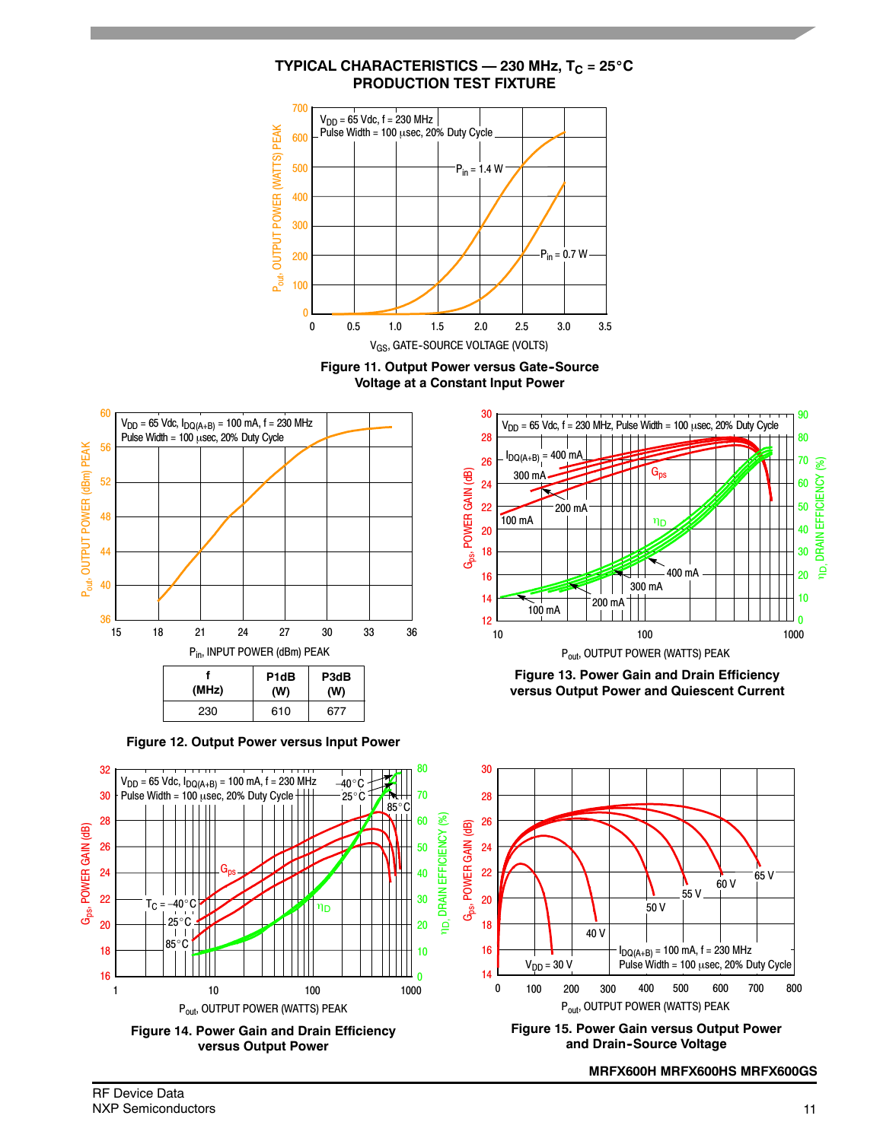











**Figure 13. Power Gain and Drain Efficiency versus Output Power and Quiescent Current**



**Figure 15. Power Gain versus Output Power and Drain--Source Voltage**

**MRFX600H MRFX600HS MRFX600GS**

# **TYPICAL CHARACTERISTICS — 230 MHz,**  $T_C = 25^\circ C$ **PRODUCTION TEST FIXTURE**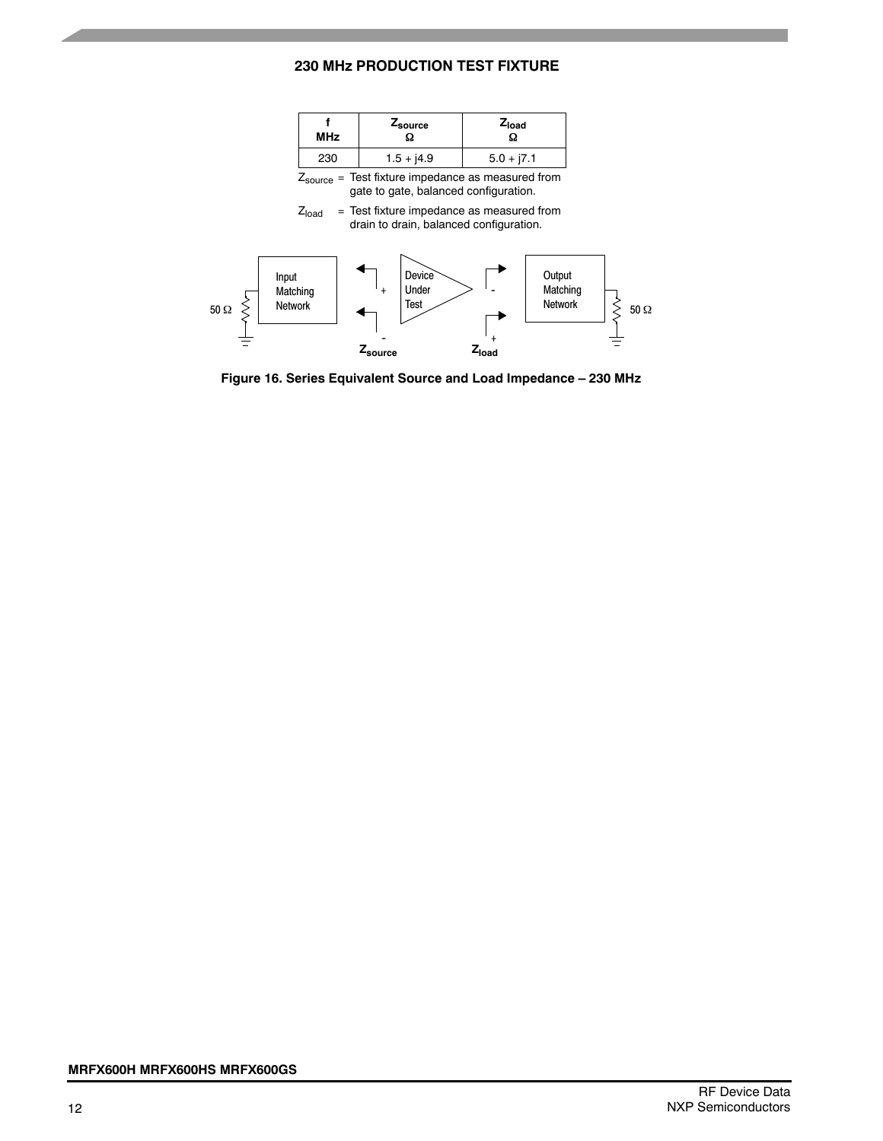### **230 MHz PRODUCTION TEST FIXTURE**

| <b>MHz</b> | Z <sub>source</sub> | $Z_{load}$<br>Ω |
|------------|---------------------|-----------------|
| 230        | $1.5 + j4.9$        | $5.0 + j7.1$    |

Zsource = Test fixture impedance as measured from gate to gate, balanced configuration.

 $Z<sub>load</sub>$  = Test fixture impedance as measured from drain to drain, balanced configuration.



**Figure 16. Series Equivalent Source and Load Impedance – 230 MHz**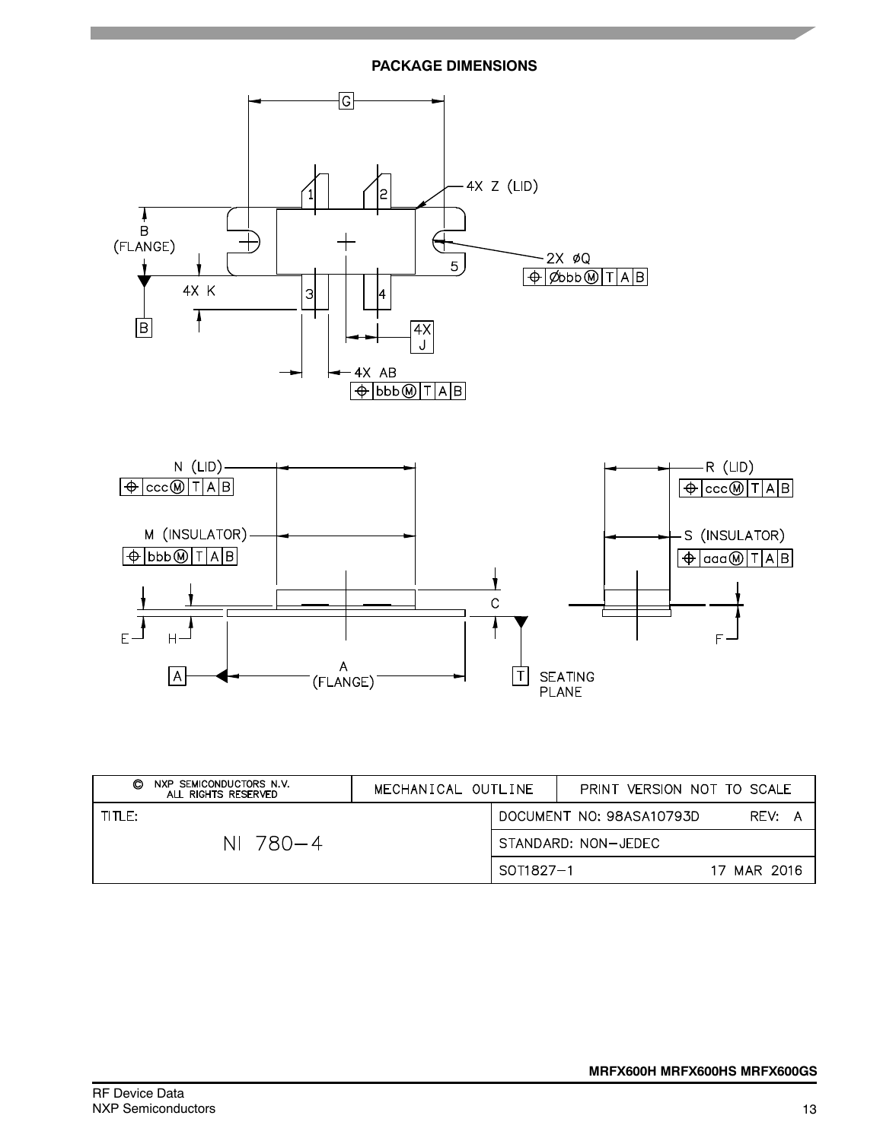### **PACKAGE DIMENSIONS**



| NXP SEMICONDUCTORS N.V.<br>O<br>ALL RIGHTS RESERVED | MECHANICAL OUTLINE |           |                     | PRINT VERSION NOT TO SCALE |             |  |
|-----------------------------------------------------|--------------------|-----------|---------------------|----------------------------|-------------|--|
| TITLE:                                              |                    |           |                     | DOCUMENT NO: 98ASA10793D   | REV: A      |  |
| NI 780-4                                            |                    |           | STANDARD: NON-JEDEC |                            |             |  |
|                                                     |                    | SOT1827-1 |                     |                            | 17 MAR 2016 |  |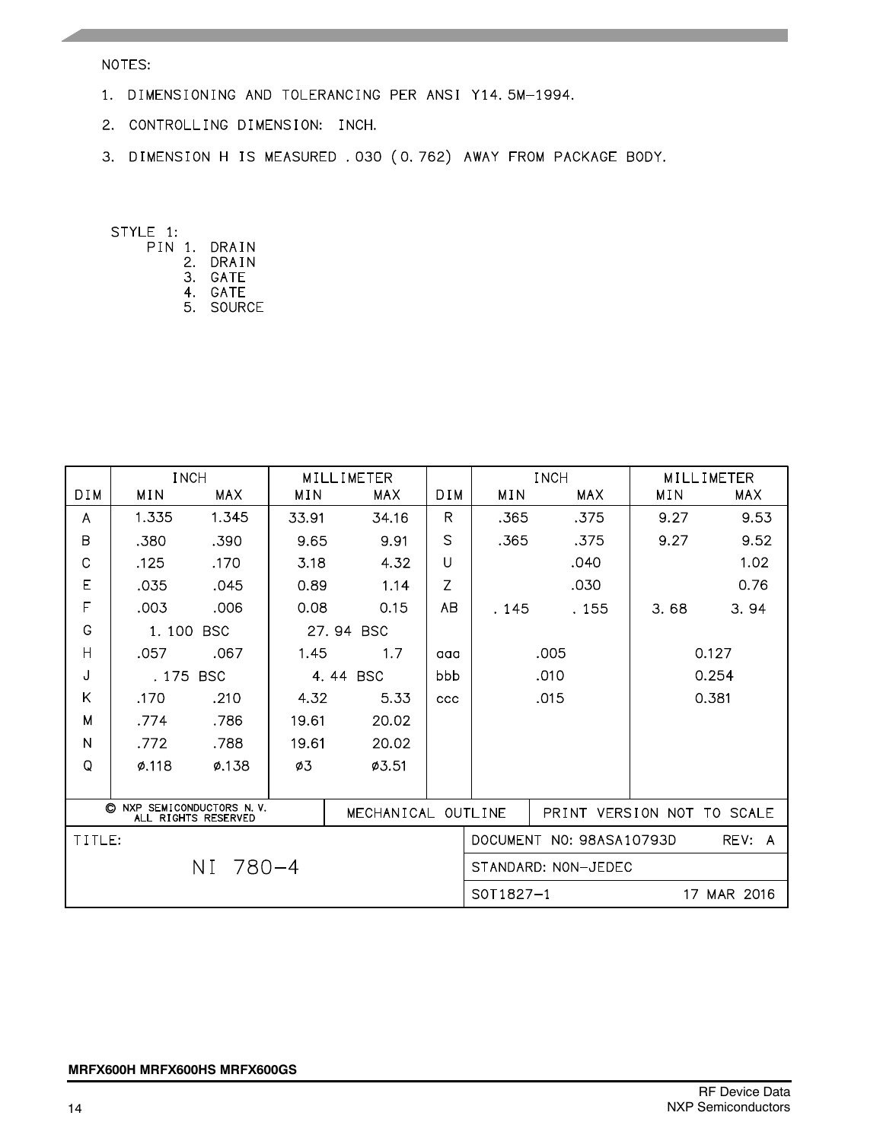### NOTES:

- 1. DIMENSIONING AND TOLERANCING PER ANSI Y14.5M-1994.
- 2. CONTROLLING DIMENSION: INCH.
- 3. DIMENSION H IS MEASURED . 030 (0.762) AWAY FROM PACKAGE BODY.

STYLE 1:

- PIN 1. DRAIN
	- 2. DRAIN
	- 3. GATE
	- 4. GATE 5. SOURCE

|            | <b>INCH</b> |                                                |       | MILLIMETER         |            |                                    | <b>INCH</b>                |       | MILLIMETER |  |
|------------|-------------|------------------------------------------------|-------|--------------------|------------|------------------------------------|----------------------------|-------|------------|--|
| <b>DIM</b> | MIN         | MAX                                            | MIN   | MAX                | <b>DIM</b> | MIN                                | <b>MAX</b>                 | MIN   | <b>MAX</b> |  |
| A          | 1.335       | 1.345                                          | 33.91 | 34.16              | R          | .365                               | .375                       | 9.27  | 9.53       |  |
| B          | .380        | .390                                           | 9.65  | 9.91               | S          | .365                               | .375                       | 9.27  | 9.52       |  |
| C          | .125        | .170                                           | 3.18  | 4.32               | $\cup$     |                                    | .040                       |       | 1.02       |  |
| E          | .035        | .045                                           | 0.89  | 1.14               | Z          |                                    | .030                       |       | 0.76       |  |
| F          | .003        | .006                                           | 0.08  | 0.15               | AB         | . 145                              | . 155                      | 3.68  | 3.94       |  |
| G          | 1.100       | <b>BSC</b>                                     |       | 27.94 BSC          |            |                                    |                            |       |            |  |
| H          | .057        | .067                                           | 1.45  | 1.7                | aaa        |                                    | .005                       | 0.127 |            |  |
| J          | . 175       | <b>BSC</b>                                     |       | 4.44 BSC           | bbb        |                                    | .010                       |       | 0.254      |  |
| K          | .170        | .210                                           | 4.32  | 5.33               | ccc        |                                    | .015                       |       | 0.381      |  |
| M          | .774        | .786                                           | 19.61 | 20.02              |            |                                    |                            |       |            |  |
| N          | .772        | .788                                           | 19.61 | 20.02              |            |                                    |                            |       |            |  |
| Q          | $\phi$ .118 | Ø.138                                          | ø3    | Ø3.51              |            |                                    |                            |       |            |  |
|            |             |                                                |       |                    |            |                                    |                            |       |            |  |
| O          |             | NXP SEMICONDUCTORS N.V.<br>ALL RIGHTS RESERVED |       | MECHANICAL OUTLINE |            |                                    | PRINT VERSION NOT TO SCALE |       |            |  |
| TITLE:     |             |                                                |       |                    |            | DOCUMENT NO: 98ASA10793D<br>REV: A |                            |       |            |  |
|            |             | NI 780-4                                       |       |                    |            | STANDARD: NON-JEDEC                |                            |       |            |  |
|            |             |                                                |       |                    |            | $SOT1827-1$<br>17 MAR 2016         |                            |       |            |  |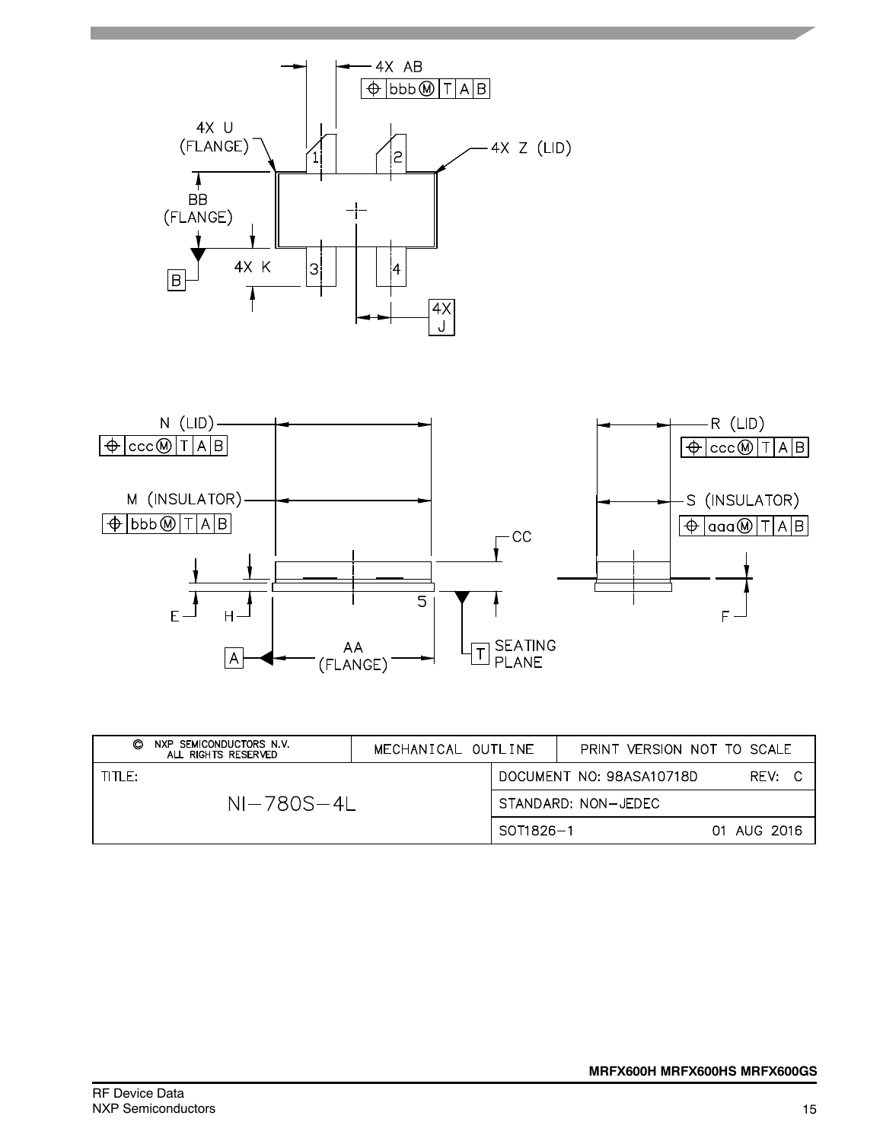



| NXP SEMICONDUCTORS N.V.<br>O<br>ALL RIGHTS RESERVED | MECHANICAL OUTLINE |           | PRINT VERSION NOT TO SCALE |             |  |
|-----------------------------------------------------|--------------------|-----------|----------------------------|-------------|--|
| TITLE:                                              |                    |           | DOCUMENT NO: 98ASA10718D   | RFV:        |  |
| $NI-780S-4I$                                        |                    |           | STANDARD: NON-JEDEC        |             |  |
|                                                     |                    | SOT1826-1 |                            | 01 AUG 2016 |  |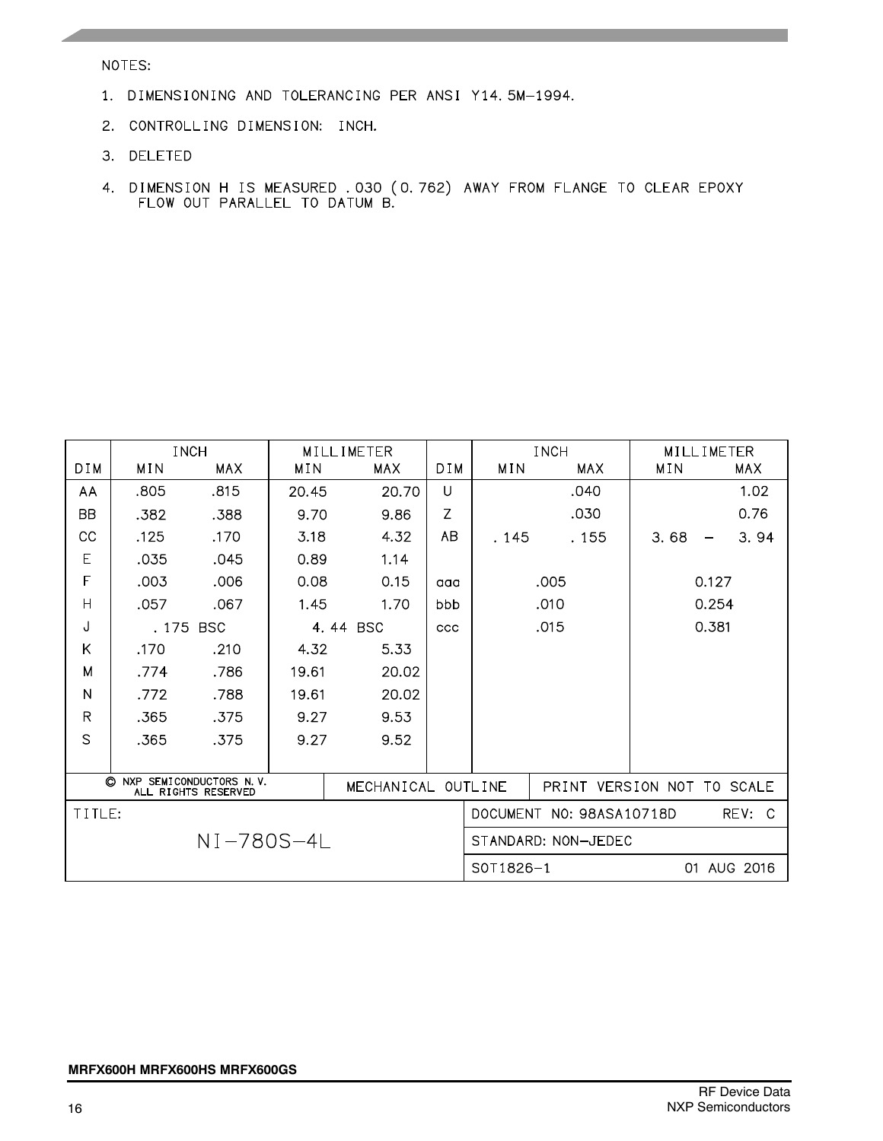NOTES:

- 1. DIMENSIONING AND TOLERANCING PER ANSI Y14.5M-1994.
- 2. CONTROLLING DIMENSION: INCH.
- 3. DELETED
- 4. DIMENSION H IS MEASURED .030 (0.762) AWAY FROM FLANGE TO CLEAR EPOXY FLOW OUT PARALLEL TO DATUM B.

|                                                                                     |       | <b>INCH</b> |       | MILLIMETER |                            |                          | <b>INCH</b>         | MILLIMETER |             |      |
|-------------------------------------------------------------------------------------|-------|-------------|-------|------------|----------------------------|--------------------------|---------------------|------------|-------------|------|
| <b>DIM</b>                                                                          | MIN   | <b>MAX</b>  | MIN   | <b>MAX</b> | DIM.                       | MIN                      | <b>MAX</b>          | MIN        | <b>MAX</b>  |      |
| AA                                                                                  | .805  | .815        | 20.45 | 20.70      | U                          |                          | .040                |            |             | 1.02 |
| BB                                                                                  | .382  | .388        | 9.70  | 9.86       | Z                          |                          | .030                |            |             | 0.76 |
| CC                                                                                  | .125  | .170        | 3.18  | 4.32       | AB                         | . 145                    | . 155               | 3.68       |             | 3.94 |
| E                                                                                   | .035  | .045        | 0.89  | 1.14       |                            |                          |                     |            |             |      |
| F                                                                                   | .003  | .006        | 0.08  | 0.15       | aaa                        |                          | .005                |            | 0.127       |      |
| $\mathsf{H}$                                                                        | .057  | .067        | 1.45  | 1.70       | bbb                        |                          | .010                |            | 0.254       |      |
| J                                                                                   | . 175 | <b>BSC</b>  |       | 4.44 BSC   | <b>CCC</b>                 |                          | .015                |            | 0.381       |      |
| Κ                                                                                   | .170  | .210        | 4.32  | 5.33       |                            |                          |                     |            |             |      |
| M                                                                                   | .774  | .786        | 19.61 | 20.02      |                            |                          |                     |            |             |      |
| N                                                                                   | .772  | .788        | 19.61 | 20.02      |                            |                          |                     |            |             |      |
| R                                                                                   | .365  | .375        | 9.27  | 9.53       |                            |                          |                     |            |             |      |
| S                                                                                   | .365  | .375        | 9.27  | 9.52       |                            |                          |                     |            |             |      |
|                                                                                     |       |             |       |            |                            |                          |                     |            |             |      |
| O<br><b>NXP</b><br>SEMICONDUCTORS N.V.<br>MECHANICAL OUTLINE<br>ALL RIGHTS RESERVED |       |             |       |            | PRINT VERSION NOT TO SCALE |                          |                     |            |             |      |
| TITLE:                                                                              |       |             |       |            |                            | DOCUMENT NO: 98ASA10718D |                     | REV: C     |             |      |
| NI-780S-4L                                                                          |       |             |       |            |                            |                          | STANDARD: NON-JEDEC |            |             |      |
|                                                                                     |       |             |       |            |                            | S0T1826-1                |                     |            | 01 AUG 2016 |      |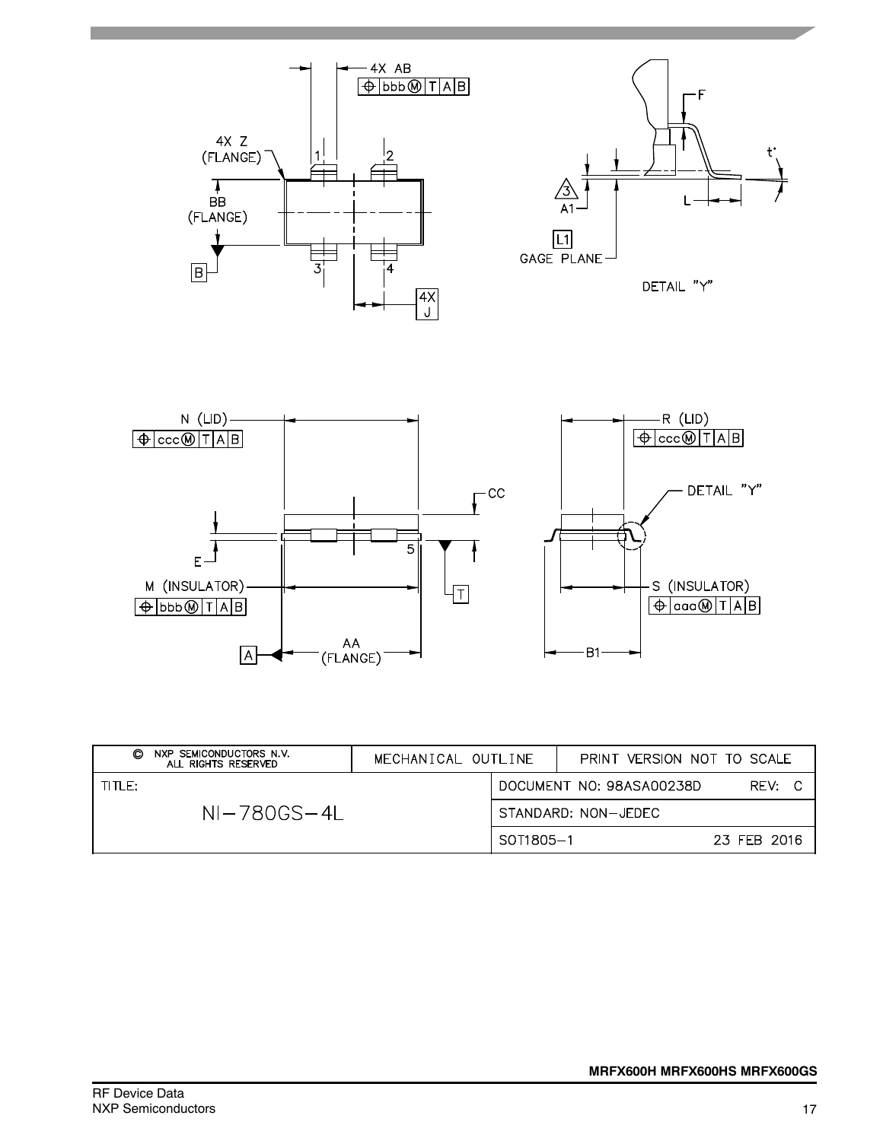

| NXP SEMICONDUCTORS N.V.<br>O<br>ALL RIGHTS RESERVED | MECHANICAL OUTLINE |           | PRINT VERSION NOT TO SCALE |             |
|-----------------------------------------------------|--------------------|-----------|----------------------------|-------------|
| TITLE:                                              |                    |           | DOCUMENT NO: 98ASA00238D   | REV: C      |
| $NI-780GS-4I$                                       |                    |           | STANDARD: NON-JEDEC        |             |
|                                                     |                    | SOT1805-1 |                            | 23 FFB 2016 |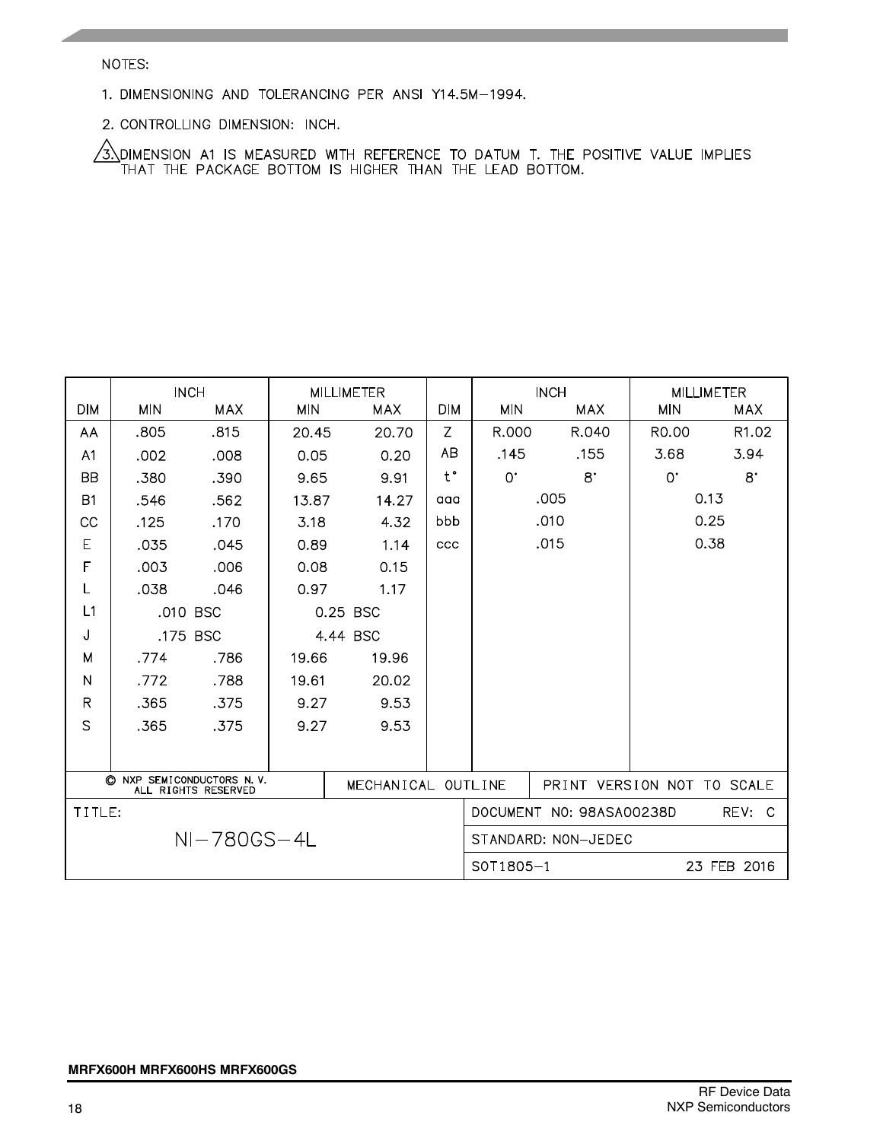### NOTES:

- 1. DIMENSIONING AND TOLERANCING PER ANSI Y14.5M-1994.
- 2. CONTROLLING DIMENSION: INCH.

 $\sqrt{3}$  dimension at is measured with reference to datum t. The positive value implies that the package bottom is higher than the lead bottom.

|                |            | <b>INCH</b>                                    |            | <b>MILLIMETER</b>  |               |             | <b>INCH</b>                |                    | <b>MILLIMETER</b> |
|----------------|------------|------------------------------------------------|------------|--------------------|---------------|-------------|----------------------------|--------------------|-------------------|
| <b>DIM</b>     | <b>MIN</b> | <b>MAX</b>                                     | <b>MIN</b> | MAX                | <b>DIM</b>    | <b>MIN</b>  | MAX                        | <b>MIN</b>         | <b>MAX</b>        |
| AA             | .805       | .815                                           | 20.45      | 20.70              | Z             | R.000       | R.040                      | R <sub>0</sub> .00 | R <sub>1.02</sub> |
| A <sub>1</sub> | .002       | .008                                           | 0.05       | 0.20               | <b>AB</b>     | .145        | .155                       | 3.68               | 3.94              |
| <b>BB</b>      | .380       | .390                                           | 9.65       | 9.91               | $t^{\bullet}$ | $0^{\cdot}$ | $8^{\circ}$                | $0^{\circ}$        | $8^{\circ}$       |
| B1             | .546       | .562                                           | 13.87      | 14.27              | aaa           |             | .005                       |                    | 0.13              |
| CC             | .125       | .170                                           | 3.18       | 4.32               | bbb           |             | .010                       |                    | 0.25              |
| E              | .035       | .045                                           | 0.89       | 1.14               | <b>CCC</b>    |             | .015                       |                    | 0.38              |
| F              | .003       | .006                                           | 0.08       | 0.15               |               |             |                            |                    |                   |
| L              | .038       | .046                                           | 0.97       | 1.17               |               |             |                            |                    |                   |
| L1             | .010 BSC   |                                                |            | 0.25 BSC           |               |             |                            |                    |                   |
| J              | .175 BSC   |                                                |            | 4.44 BSC           |               |             |                            |                    |                   |
| M              | .774       | .786                                           | 19.66      | 19.96              |               |             |                            |                    |                   |
| N              | .772       | .788                                           | 19.61      | 20.02              |               |             |                            |                    |                   |
| $\mathsf R$    | .365       | .375                                           | 9.27       | 9.53               |               |             |                            |                    |                   |
| S              | .365       | .375                                           | 9.27       | 9.53               |               |             |                            |                    |                   |
|                |            |                                                |            |                    |               |             |                            |                    |                   |
|                | O          | NXP SEMICONDUCTORS N.V.<br>ALL RIGHTS RESERVED |            | MECHANICAL OUTLINE |               |             | PRINT VERSION NOT TO SCALE |                    |                   |
| TITLE:         |            |                                                |            |                    |               |             | DOCUMENT NO: 98ASA00238D   |                    | REV: C            |
|                |            | $NI-780GS-4L$                                  |            |                    |               |             | STANDARD: NON-JEDEC        |                    |                   |
|                |            |                                                |            |                    |               | S0T1805-1   |                            |                    | 23 FEB 2016       |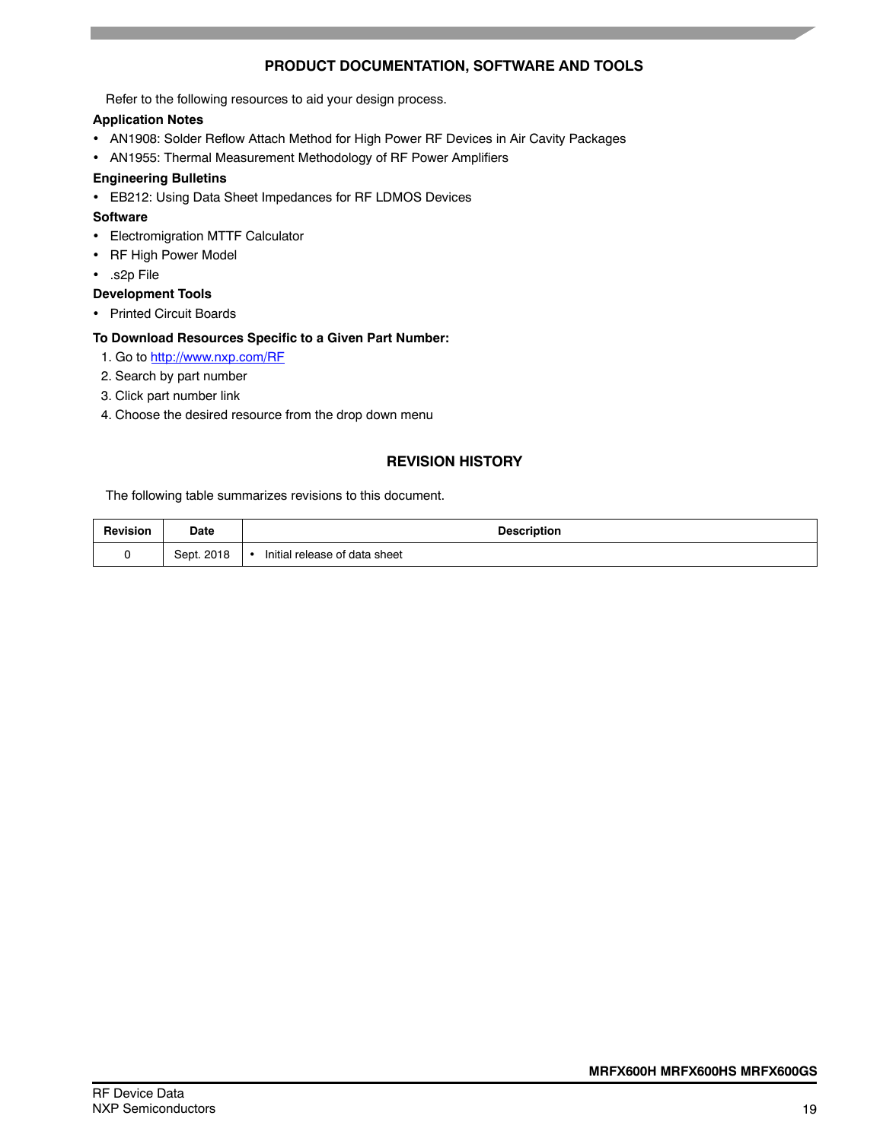### **PRODUCT DOCUMENTATION, SOFTWARE AND TOOLS**

Refer to the following resources to aid your design process.

### **Application Notes**

- AN1908: Solder Reflow Attach Method for High Power RF Devices in Air Cavity Packages
- AN1955: Thermal Measurement Methodology of RF Power Amplifiers

### **Engineering Bulletins**

EB212: Using Data Sheet Impedances for RF LDMOS Devices

### **Software**

- Electromigration MTTF Calculator
- RF High Power Model
- .s2p File

### **Development Tools**

• Printed Circuit Boards

### **To Download Resources Specific to a Given Part Number:**

- 1. Go to http://www.nxp.com/RF
- 2. Search by part number
- 3. Click part number link
- 4. Choose the desired resource from the drop down menu

### **REVISION HISTORY**

The following table summarizes revisions to this document.

| <b>Revision</b> | Date       | <b>Description</b>                         |
|-----------------|------------|--------------------------------------------|
|                 | Sept. 2018 | Initial release of data sheet<br>$\bullet$ |